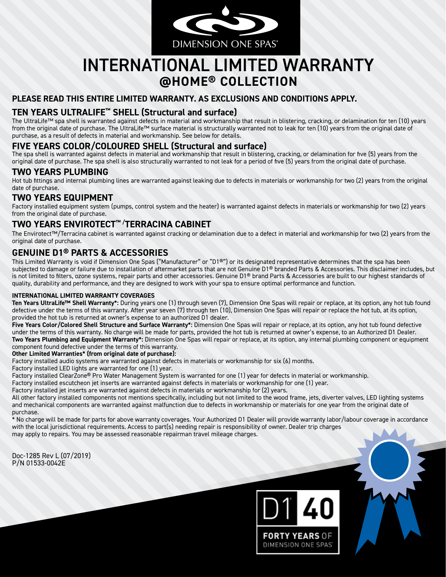

# INTERNATIONAL LIMITED WARRANTY **@HOME® COLLECTION**

#### **PLEASE READ THIS ENTIRE LIMITED WARRANTY. AS EXCLUSIONS AND CONDITIONS APPLY.**

## **TEN YEARS ULTRALIFE™ SHELL (Structural and surface)**

The UltraLife™ spa shell is warranted against defects in material and workmanship that result in blistering, cracking, or delamination for ten (10) years from the original date of purchase. The UltraLife™ surface material is structurally warranted not to leak for ten (10) years from the original date of purchase, as a result of defects in material and workmanship. See below for details.

## **FIVE YEARS COLOR/COLOURED SHELL (Structural and surface)**

The spa shell is warranted against defects in material and workmanship that result in blistering, cracking, or delamination for five (5) years from the original date of purchase. The spa shell is also structurally warranted to not leak for a period of five (5) years from the original date of purchase.

## **TWO YEARS PLUMBING**

Hot tub fittings and internal plumbing lines are warranted against leaking due to defects in materials or workmanship for two (2) years from the original date of purchase.

## **TWO YEARS EQUIPMENT**

Factory installed equipment system (pumps, control system and the heater) is warranted against defects in materials or workmanship for two (2) years from the original date of purchase.

# **TWO YEARS ENVIROTECT™ /TERRACINA CABINET**

The Envirotect™/Terracina cabinet is warranted against cracking or delamination due to a defect in material and workmanship for two (2) years from the original date of purchase.

### **GENUINE D1® PARTS & ACCESSORIES**

This Limited Warranty is void if Dimension One Spas ("Manufacturer" or "D1®") or its designated representative determines that the spa has been subjected to damage or failure due to installation of aftermarket parts that are not Genuine D1<sup>®</sup> branded Parts & Accessories. This disclaimer includes, but is not limited to filters, ozone systems, repair parts and other accessories. Genuine D1® brand Parts & Accessories are built to our highest standards of quality, durability and performance, and they are designed to work with your spa to ensure optimal performance and function.

#### **INTERNATIONAL LIMITED WARRANTY COVERAGES**

**Ten Years UltraLife™ Shell Warranty\*:** During years one (1) through seven (7), Dimension One Spas will repair or replace, at its option, any hot tub found defective under the terms of this warranty. After year seven (7) through ten (10), Dimension One Spas will repair or replace the hot tub, at its option, provided the hot tub is returned at owner's expense to an authorized D1 dealer.

**Five Years Color/Colored Shell Structure and Surface Warranty\*:** Dimension One Spas will repair or replace, at its option, any hot tub found defective under the terms of this warranty. No charge will be made for parts, provided the hot tub is returned at owner's expense, to an Authorized D1 Dealer. **Two Years Plumbing and Equipment Warranty\*:** Dimension One Spas will repair or replace, at its option, any internal plumbing component or equipment

component found defective under the terms of this warranty.

**Other Limited Warranties\* (from original date of purchase):**

Factory installed audio systems are warranted against defects in materials or workmanship for six (6) months.

Factory installed LED lights are warranted for one (1) year.

Factory installed ClearZone® Pro Water Management System is warranted for one (1) year for defects in material or workmanship.

Factory installed escutcheon jet inserts are warranted against defects in materials or workmanship for one (1) year.

Factory installed jet inserts are warranted against defects in materials or workmanship for (2) years.

All other factory installed components not mentions specifically, including but not limited to the wood frame, jets, diverter valves, LED lighting systems and mechanical components are warranted against malfunction due to defects in workmanship or materials for one year from the original date of purchase.

\* No charge will be made for parts for above warranty coverages. Your Authorized D1 Dealer will provide warranty labor/labour coverage in accordance with the local jurisdictional requirements. Access to part(s) needing repair is responsibility of owner. Dealer trip charges

may apply to repairs. You may be assessed reasonable repairman travel mileage charges.

Doc-1285 Rev L (07/2019) P/N 01533-0042E